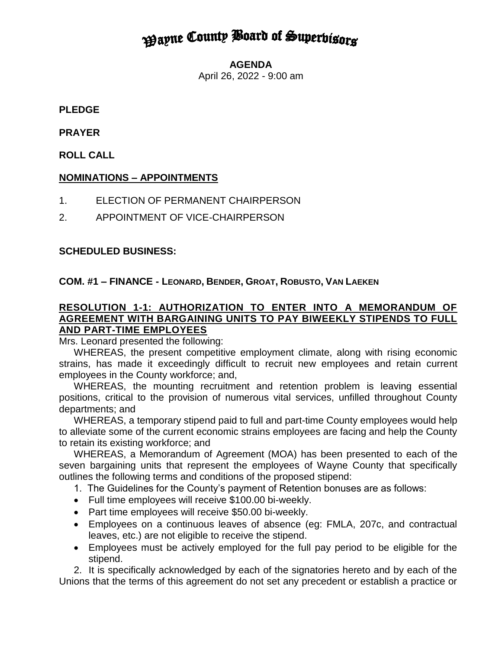# **Payne County Board of Superbisors**

**AGENDA**

April 26, 2022 - 9:00 am

## **PLEDGE**

## **PRAYER**

**ROLL CALL** 

# **NOMINATIONS – APPOINTMENTS**

- 1. ELECTION OF PERMANENT CHAIRPERSON
- 2. APPOINTMENT OF VICE-CHAIRPERSON

## **SCHEDULED BUSINESS:**

## **COM. #1 – FINANCE - LEONARD, BENDER, GROAT, ROBUSTO, VAN LAEKEN**

#### **RESOLUTION 1-1: AUTHORIZATION TO ENTER INTO A MEMORANDUM OF AGREEMENT WITH BARGAINING UNITS TO PAY BIWEEKLY STIPENDS TO FULL AND PART-TIME EMPLOYEES**

Mrs. Leonard presented the following:

WHEREAS, the present competitive employment climate, along with rising economic strains, has made it exceedingly difficult to recruit new employees and retain current employees in the County workforce; and,

WHEREAS, the mounting recruitment and retention problem is leaving essential positions, critical to the provision of numerous vital services, unfilled throughout County departments; and

WHEREAS, a temporary stipend paid to full and part-time County employees would help to alleviate some of the current economic strains employees are facing and help the County to retain its existing workforce; and

WHEREAS, a Memorandum of Agreement (MOA) has been presented to each of the seven bargaining units that represent the employees of Wayne County that specifically outlines the following terms and conditions of the proposed stipend:

1. The Guidelines for the County's payment of Retention bonuses are as follows:

- Full time employees will receive \$100.00 bi-weekly.
- Part time employees will receive \$50.00 bi-weekly.
- Employees on a continuous leaves of absence (eg: FMLA, 207c, and contractual leaves, etc.) are not eligible to receive the stipend.
- Employees must be actively employed for the full pay period to be eligible for the stipend.

2. It is specifically acknowledged by each of the signatories hereto and by each of the Unions that the terms of this agreement do not set any precedent or establish a practice or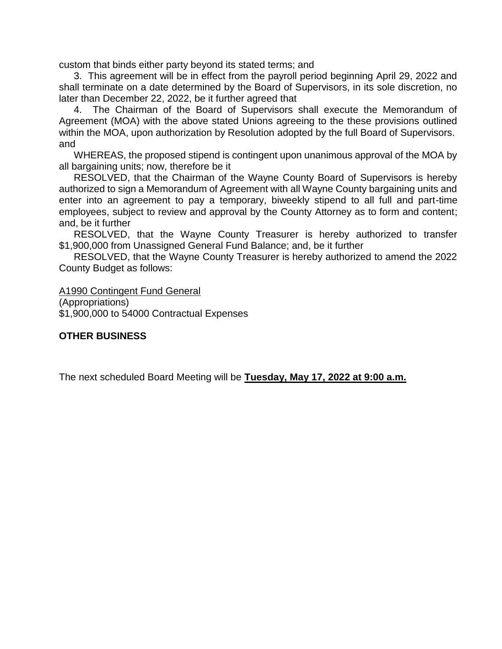custom that binds either party beyond its stated terms; and

3. This agreement will be in effect from the payroll period beginning April 29, 2022 and shall terminate on a date determined by the Board of Supervisors, in its sole discretion, no later than December 22, 2022, be it further agreed that

4. The Chairman of the Board of Supervisors shall execute the Memorandum of Agreement (MOA) with the above stated Unions agreeing to the these provisions outlined within the MOA, upon authorization by Resolution adopted by the full Board of Supervisors. and

WHEREAS, the proposed stipend is contingent upon unanimous approval of the MOA by all bargaining units; now, therefore be it

RESOLVED, that the Chairman of the Wayne County Board of Supervisors is hereby authorized to sign a Memorandum of Agreement with all Wayne County bargaining units and enter into an agreement to pay a temporary, biweekly stipend to all full and part-time employees, subject to review and approval by the County Attorney as to form and content; and, be it further

RESOLVED, that the Wayne County Treasurer is hereby authorized to transfer \$1,900,000 from Unassigned General Fund Balance; and, be it further

RESOLVED, that the Wayne County Treasurer is hereby authorized to amend the 2022 County Budget as follows:

A1990 Contingent Fund General

(Appropriations) \$1,900,000 to 54000 Contractual Expenses

#### **OTHER BUSINESS**

The next scheduled Board Meeting will be **Tuesday, May 17, 2022 at 9:00 a.m.**